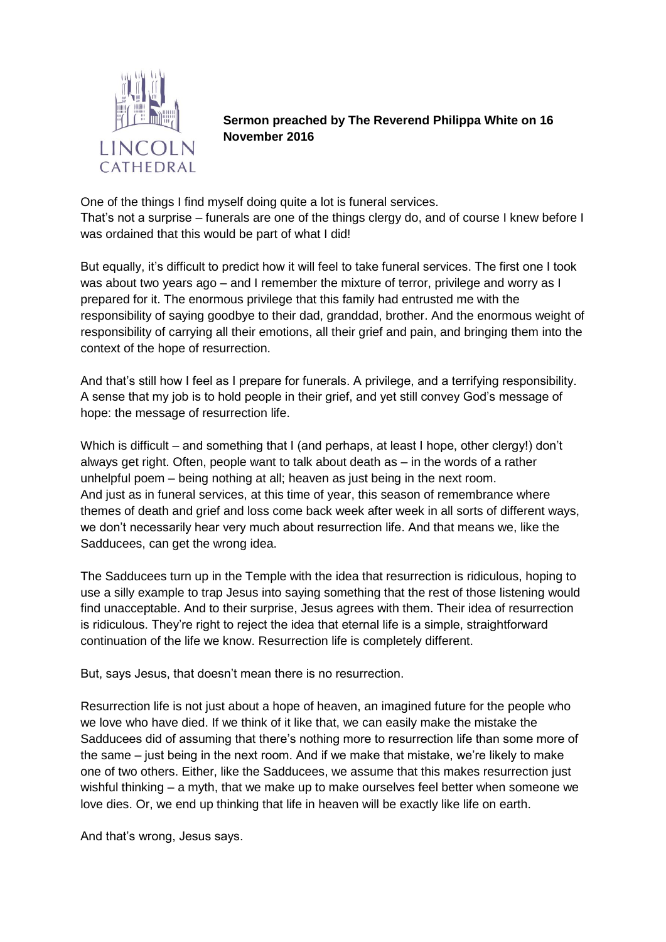

**Sermon preached by The Reverend Philippa White on 16 November 2016**

One of the things I find myself doing quite a lot is funeral services. That's not a surprise – funerals are one of the things clergy do, and of course I knew before I was ordained that this would be part of what I did!

But equally, it's difficult to predict how it will feel to take funeral services. The first one I took was about two years ago – and I remember the mixture of terror, privilege and worry as I prepared for it. The enormous privilege that this family had entrusted me with the responsibility of saying goodbye to their dad, granddad, brother. And the enormous weight of responsibility of carrying all their emotions, all their grief and pain, and bringing them into the context of the hope of resurrection.

And that's still how I feel as I prepare for funerals. A privilege, and a terrifying responsibility. A sense that my job is to hold people in their grief, and yet still convey God's message of hope: the message of resurrection life.

Which is difficult – and something that I (and perhaps, at least I hope, other clergy!) don't always get right. Often, people want to talk about death as – in the words of a rather unhelpful poem – being nothing at all; heaven as just being in the next room. And just as in funeral services, at this time of year, this season of remembrance where themes of death and grief and loss come back week after week in all sorts of different ways, we don't necessarily hear very much about resurrection life. And that means we, like the Sadducees, can get the wrong idea.

The Sadducees turn up in the Temple with the idea that resurrection is ridiculous, hoping to use a silly example to trap Jesus into saying something that the rest of those listening would find unacceptable. And to their surprise, Jesus agrees with them. Their idea of resurrection is ridiculous. They're right to reject the idea that eternal life is a simple, straightforward continuation of the life we know. Resurrection life is completely different.

But, says Jesus, that doesn't mean there is no resurrection.

Resurrection life is not just about a hope of heaven, an imagined future for the people who we love who have died. If we think of it like that, we can easily make the mistake the Sadducees did of assuming that there's nothing more to resurrection life than some more of the same – just being in the next room. And if we make that mistake, we're likely to make one of two others. Either, like the Sadducees, we assume that this makes resurrection just wishful thinking – a myth, that we make up to make ourselves feel better when someone we love dies. Or, we end up thinking that life in heaven will be exactly like life on earth.

And that's wrong, Jesus says.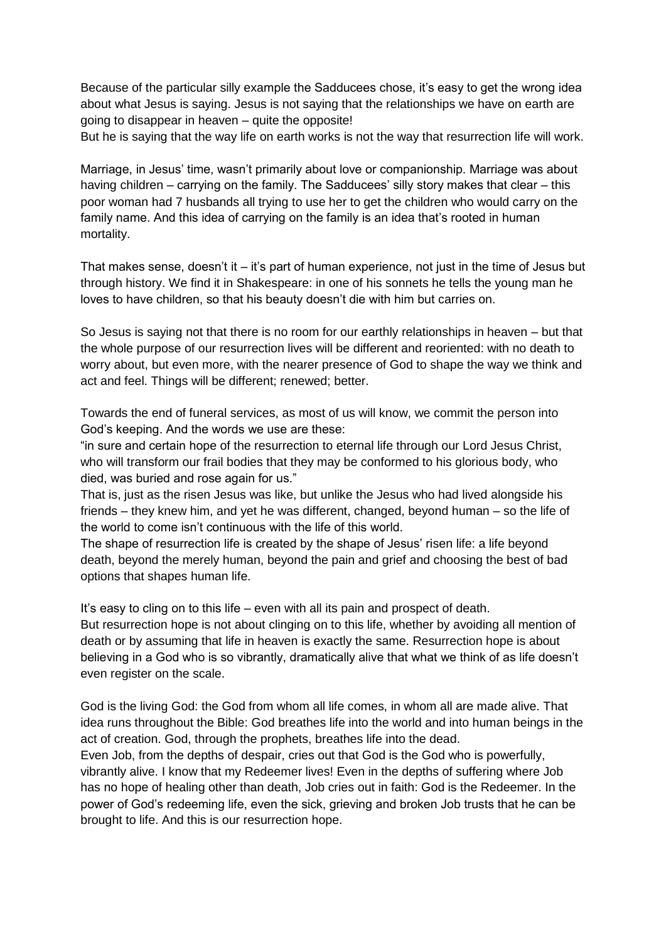Because of the particular silly example the Sadducees chose, it's easy to get the wrong idea about what Jesus is saying. Jesus is not saying that the relationships we have on earth are going to disappear in heaven – quite the opposite!

But he is saying that the way life on earth works is not the way that resurrection life will work.

Marriage, in Jesus' time, wasn't primarily about love or companionship. Marriage was about having children – carrying on the family. The Sadducees' silly story makes that clear – this poor woman had 7 husbands all trying to use her to get the children who would carry on the family name. And this idea of carrying on the family is an idea that's rooted in human mortality.

That makes sense, doesn't it – it's part of human experience, not just in the time of Jesus but through history. We find it in Shakespeare: in one of his sonnets he tells the young man he loves to have children, so that his beauty doesn't die with him but carries on.

So Jesus is saying not that there is no room for our earthly relationships in heaven – but that the whole purpose of our resurrection lives will be different and reoriented: with no death to worry about, but even more, with the nearer presence of God to shape the way we think and act and feel. Things will be different; renewed; better.

Towards the end of funeral services, as most of us will know, we commit the person into God's keeping. And the words we use are these:

"in sure and certain hope of the resurrection to eternal life through our Lord Jesus Christ, who will transform our frail bodies that they may be conformed to his glorious body, who died, was buried and rose again for us."

That is, just as the risen Jesus was like, but unlike the Jesus who had lived alongside his friends – they knew him, and yet he was different, changed, beyond human – so the life of the world to come isn't continuous with the life of this world.

The shape of resurrection life is created by the shape of Jesus' risen life: a life beyond death, beyond the merely human, beyond the pain and grief and choosing the best of bad options that shapes human life.

It's easy to cling on to this life – even with all its pain and prospect of death. But resurrection hope is not about clinging on to this life, whether by avoiding all mention of death or by assuming that life in heaven is exactly the same. Resurrection hope is about believing in a God who is so vibrantly, dramatically alive that what we think of as life doesn't even register on the scale.

God is the living God: the God from whom all life comes, in whom all are made alive. That idea runs throughout the Bible: God breathes life into the world and into human beings in the act of creation. God, through the prophets, breathes life into the dead.

Even Job, from the depths of despair, cries out that God is the God who is powerfully, vibrantly alive. I know that my Redeemer lives! Even in the depths of suffering where Job has no hope of healing other than death, Job cries out in faith: God is the Redeemer. In the power of God's redeeming life, even the sick, grieving and broken Job trusts that he can be brought to life. And this is our resurrection hope.